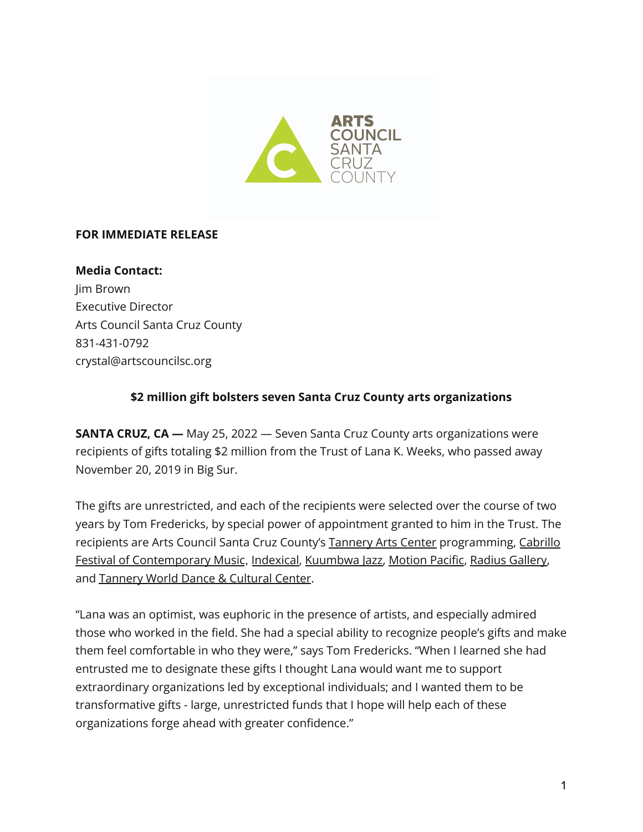

## **FOR IMMEDIATE RELEASE**

**Media Contact:** Jim Brown Executive Director Arts Council Santa Cruz County 831-431-0792 crystal@artscouncilsc.org

## **\$2 million gift bolsters seven Santa Cruz County arts organizations**

**SANTA CRUZ, CA —** May 25, 2022 — Seven Santa Cruz County arts organizations were recipients of gifts totaling \$2 million from the Trust of Lana K. Weeks, who passed away November 20, 2019 in Big Sur.

The gifts are unrestricted, and each of the recipients were selected over the course of two years by Tom Fredericks, by special power of appointment granted to him in the Trust. The recipients are Arts Council Santa Cruz County's [Tannery](https://www.tanneryartscenter.org/) Arts Center programming, [Cabrillo](https://cabrillomusic.org/) Festival of [Contemporary](https://cabrillomusic.org/) Music, [Indexical,](https://www.indexical.org/) [Kuumbwa](https://www.kuumbwajazz.org/) Jazz, [Motion](https://motionpacific.com/) Pacific, Radius [Gallery,](https://www.radius.gallery/) and [Tannery](https://tanneryworlddance.com/) World Dance & Cultural Center.

"Lana was an optimist, was euphoric in the presence of artists, and especially admired those who worked in the field. She had a special ability to recognize people's gifts and make them feel comfortable in who they were," says Tom Fredericks. "When I learned she had entrusted me to designate these gifts I thought Lana would want me to support extraordinary organizations led by exceptional individuals; and I wanted them to be transformative gifts - large, unrestricted funds that I hope will help each of these organizations forge ahead with greater confidence."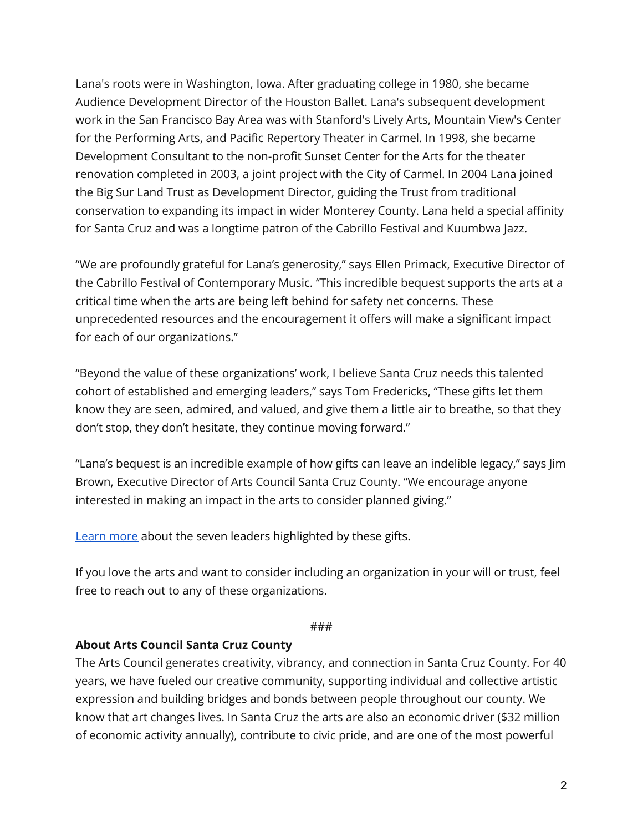Lana's roots were in Washington, Iowa. After graduating college in 1980, she became Audience Development Director of the Houston Ballet. Lana's subsequent development work in the San Francisco Bay Area was with Stanford's Lively Arts, Mountain View's Center for the Performing Arts, and Pacific Repertory Theater in Carmel. In 1998, she became Development Consultant to the non-profit Sunset Center for the Arts for the theater renovation completed in 2003, a joint project with the City of Carmel. In 2004 Lana joined the Big Sur Land Trust as Development Director, guiding the Trust from traditional conservation to expanding its impact in wider Monterey County. Lana held a special affinity for Santa Cruz and was a longtime patron of the Cabrillo Festival and Kuumbwa Jazz.

"We are profoundly grateful for Lana's generosity," says Ellen Primack, Executive Director of the Cabrillo Festival of Contemporary Music. "This incredible bequest supports the arts at a critical time when the arts are being left behind for safety net concerns. These unprecedented resources and the encouragement it offers will make a significant impact for each of our organizations."

"Beyond the value of these organizations' work, I believe Santa Cruz needs this talented cohort of established and emerging leaders," says Tom Fredericks, "These gifts let them know they are seen, admired, and valued, and give them a little air to breathe, so that they don't stop, they don't hesitate, they continue moving forward."

"Lana's bequest is an incredible example of how gifts can leave an indelible legacy," says Jim Brown, Executive Director of Arts Council Santa Cruz County. "We encourage anyone interested in making an impact in the arts to consider planned giving."

[Learn](https://www.artscouncilsc.org/weeks-arts-leaders) more about the seven leaders highlighted by these gifts.

If you love the arts and want to consider including an organization in your will or trust, feel free to reach out to any of these organizations.

## ###

## **About Arts Council Santa Cruz County**

The Arts Council generates creativity, vibrancy, and connection in Santa Cruz County. For 40 years, we have fueled our creative community, supporting individual and collective artistic expression and building bridges and bonds between people throughout our county. We know that art changes lives. In Santa Cruz the arts are also an economic driver (\$32 million of economic activity annually), contribute to civic pride, and are one of the most powerful